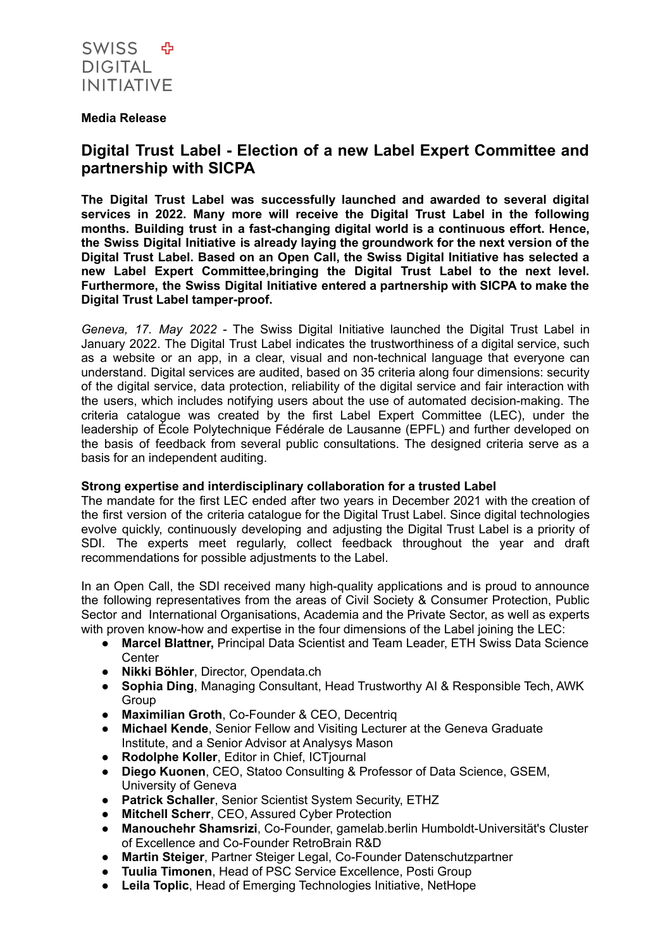

## **Media Release**

# **Digital Trust Label - Election of a new Label Expert Committee and partnership with SICPA**

**The Digital Trust Label was successfully launched and awarded to several digital services in 2022. Many more will receive the Digital Trust Label in the following months. Building trust in a fast-changing digital world is a continuous effort. Hence, the Swiss Digital Initiative is already laying the groundwork for the next version of the Digital Trust Label. Based on an Open Call, the Swiss Digital Initiative has selected a new Label Expert Committee,bringing the Digital Trust Label to the next level. Furthermore, the Swiss Digital Initiative entered a partnership with SICPA to make the Digital Trust Label tamper-proof.**

*Geneva, 17. May 2022 -* The Swiss Digital Initiative launched the Digital Trust Label in January 2022. The Digital Trust Label indicates the trustworthiness of a digital service, such as a website or an app, in a clear, visual and non-technical language that everyone can understand. Digital services are audited, based on 35 criteria along four dimensions: security of the digital service, data protection, reliability of the digital service and fair interaction with the users, which includes notifying users about the use of automated decision-making. The criteria catalogue was created by the first Label Expert Committee (LEC), under the leadership of École Polytechnique Fédérale de Lausanne (EPFL) and further developed on the basis of feedback from several public consultations. The designed criteria serve as a basis for an independent auditing.

# **Strong expertise and interdisciplinary collaboration for a trusted Label**

The mandate for the first LEC ended after two years in December 2021 with the creation of the first version of the criteria catalogue for the Digital Trust Label. Since digital technologies evolve quickly, continuously developing and adjusting the Digital Trust Label is a priority of SDI. The experts meet regularly, collect feedback throughout the year and draft recommendations for possible adjustments to the Label.

In an Open Call, the SDI received many high-quality applications and is proud to announce the following representatives from the areas of Civil Society & Consumer Protection, Public Sector and International Organisations, Academia and the Private Sector, as well as experts with proven know-how and expertise in the four dimensions of the Label joining the LEC:

- **Marcel Blattner,** Principal Data Scientist and Team Leader, ETH Swiss Data Science **Center**
- **Nikki Böhler**, Director, Opendata.ch
- **Sophia Ding**, Managing Consultant, Head Trustworthy AI & Responsible Tech, AWK Group
- **Maximilian Groth**, Co-Founder & CEO, Decentriq
- **Michael Kende**, Senior Fellow and Visiting Lecturer at the Geneva Graduate Institute, and a Senior Advisor at Analysys Mason
- **Rodolphe Koller**, Editor in Chief, ICTjournal
- **Diego Kuonen**, CEO, Statoo Consulting & Professor of Data Science, GSEM, University of Geneva
- **Patrick Schaller**, Senior Scientist System Security, ETHZ
- **Mitchell Scherr**, CEO, Assured Cyber Protection
- **Manouchehr Shamsrizi**, Co-Founder, gamelab.berlin Humboldt-Universität's Cluster of Excellence and Co-Founder RetroBrain R&D
- **Martin Steiger**, Partner Steiger Legal, Co-Founder Datenschutzpartner
- **Tuulia Timonen**, Head of PSC Service Excellence, Posti Group
- **Leila Toplic**, Head of Emerging Technologies Initiative, NetHope